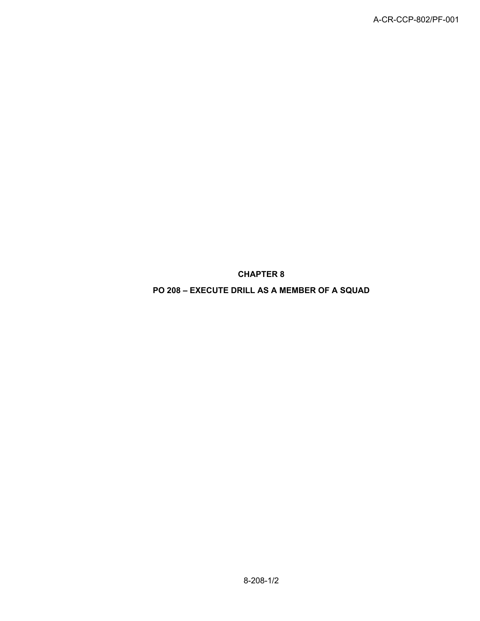**CHAPTER 8**

**PO 208 – EXECUTE DRILL AS A MEMBER OF A SQUAD**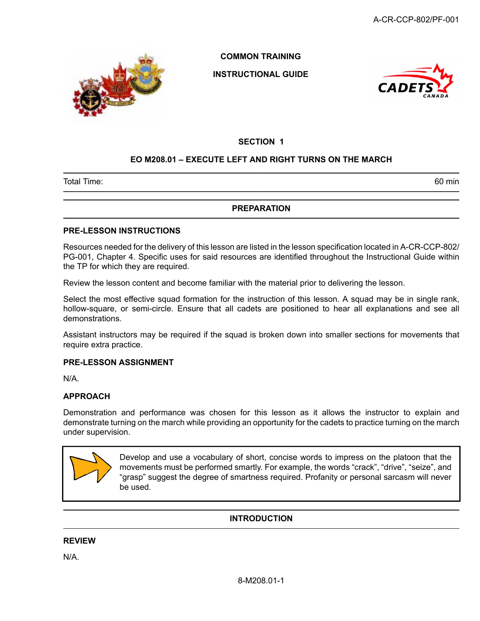

**INSTRUCTIONAL GUIDE**



## **SECTION 1**

# **EO M208.01 – EXECUTE LEFT AND RIGHT TURNS ON THE MARCH**

Total Time: 60 min

# **PREPARATION**

## **PRE-LESSON INSTRUCTIONS**

Resources needed for the delivery of this lesson are listed in the lesson specification located in A-CR-CCP-802/ PG-001, Chapter 4. Specific uses for said resources are identified throughout the Instructional Guide within the TP for which they are required.

Review the lesson content and become familiar with the material prior to delivering the lesson.

Select the most effective squad formation for the instruction of this lesson. A squad may be in single rank, hollow-square, or semi-circle. Ensure that all cadets are positioned to hear all explanations and see all demonstrations.

Assistant instructors may be required if the squad is broken down into smaller sections for movements that require extra practice.

### **PRE-LESSON ASSIGNMENT**

N/A.

# **APPROACH**

Demonstration and performance was chosen for this lesson as it allows the instructor to explain and demonstrate turning on the march while providing an opportunity for the cadets to practice turning on the march under supervision.



Develop and use a vocabulary of short, concise words to impress on the platoon that the movements must be performed smartly. For example, the words "crack", "drive", "seize", and "grasp" suggest the degree of smartness required. Profanity or personal sarcasm will never be used.

# **INTRODUCTION**

## **REVIEW**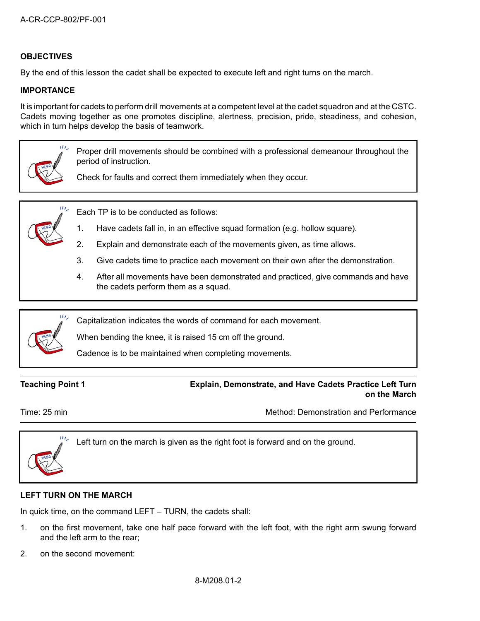# **OBJECTIVES**

By the end of this lesson the cadet shall be expected to execute left and right turns on the march.

# **IMPORTANCE**

It is important for cadets to perform drill movements at a competent level at the cadet squadron and at the CSTC. Cadets moving together as one promotes discipline, alertness, precision, pride, steadiness, and cohesion, which in turn helps develop the basis of teamwork.



Proper drill movements should be combined with a professional demeanour throughout the period of instruction.

Check for faults and correct them immediately when they occur.



- Each TP is to be conducted as follows:
- 1. Have cadets fall in, in an effective squad formation (e.g. hollow square).
- 2. Explain and demonstrate each of the movements given, as time allows.
- 3. Give cadets time to practice each movement on their own after the demonstration.
- 4. After all movements have been demonstrated and practiced, give commands and have the cadets perform them as a squad.

Capitalization indicates the words of command for each movement.

When bending the knee, it is raised 15 cm off the ground.

Cadence is to be maintained when completing movements.

 $111,$ 

# **Teaching Point 1 Explain, Demonstrate, and Have Cadets Practice Left Turn on the March**

Time: 25 min Method: Demonstration and Performance



Left turn on the march is given as the right foot is forward and on the ground.

# **LEFT TURN ON THE MARCH**

In quick time, on the command LEFT – TURN, the cadets shall:

- 1. on the first movement, take one half pace forward with the left foot, with the right arm swung forward and the left arm to the rear;
- 2. on the second movement: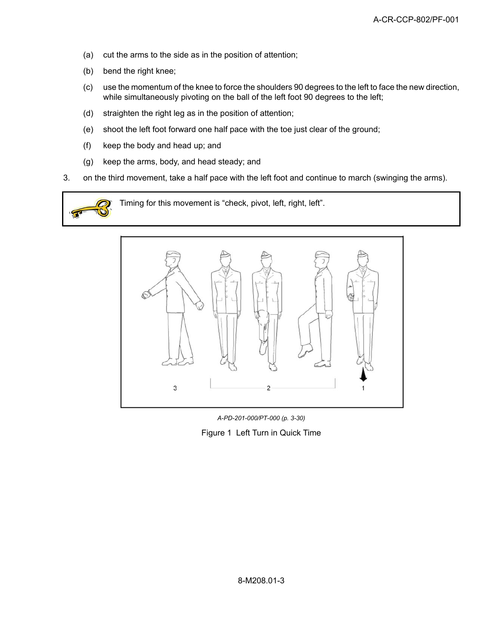- (a) cut the arms to the side as in the position of attention;
- (b) bend the right knee;
- (c) use the momentum of the knee to force the shoulders 90 degrees to the left to face the new direction, while simultaneously pivoting on the ball of the left foot 90 degrees to the left;
- (d) straighten the right leg as in the position of attention;
- (e) shoot the left foot forward one half pace with the toe just clear of the ground;
- (f) keep the body and head up; and
- (g) keep the arms, body, and head steady; and
- 3. on the third movement, take a half pace with the left foot and continue to march (swinging the arms).

Timing for this movement is "check, pivot, left, right, left".



*A-PD-201-000/PT-000 (p. 3-30)*

Figure 1 Left Turn in Quick Time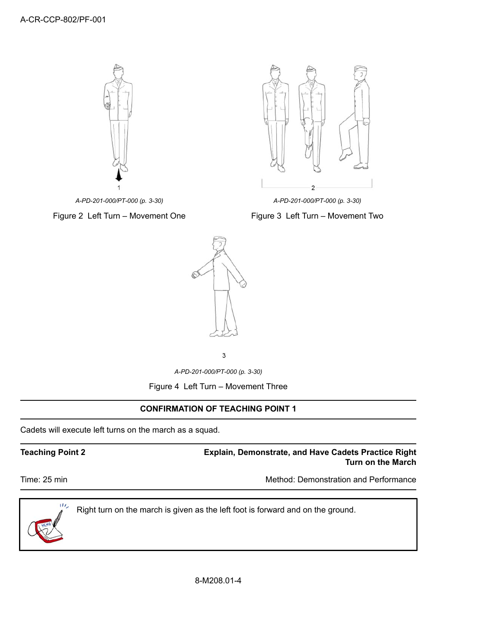

*A-PD-201-000/PT-000 (p. 3-30)*





*A-PD-201-000/PT-000 (p. 3-30)*

Figure 3 Left Turn – Movement Two



3

*A-PD-201-000/PT-000 (p. 3-30)*

Figure 4 Left Turn – Movement Three

# **CONFIRMATION OF TEACHING POINT 1**

Cadets will execute left turns on the march as a squad.

# **Teaching Point 2 Explain, Demonstrate, and Have Cadets Practice Right Turn on the March**

Time: 25 min Method: Demonstration and Performance



Right turn on the march is given as the left foot is forward and on the ground.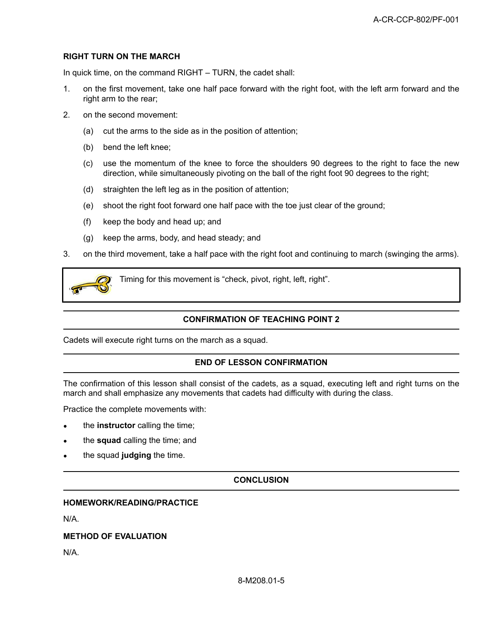## **RIGHT TURN ON THE MARCH**

In quick time, on the command RIGHT – TURN, the cadet shall:

- 1. on the first movement, take one half pace forward with the right foot, with the left arm forward and the right arm to the rear;
- 2. on the second movement:
	- (a) cut the arms to the side as in the position of attention;
	- (b) bend the left knee;
	- (c) use the momentum of the knee to force the shoulders 90 degrees to the right to face the new direction, while simultaneously pivoting on the ball of the right foot 90 degrees to the right;
	- (d) straighten the left leg as in the position of attention;
	- (e) shoot the right foot forward one half pace with the toe just clear of the ground;
	- (f) keep the body and head up; and
	- (g) keep the arms, body, and head steady; and
- 3. on the third movement, take a half pace with the right foot and continuing to march (swinging the arms).



Timing for this movement is "check, pivot, right, left, right".

# **CONFIRMATION OF TEACHING POINT 2**

Cadets will execute right turns on the march as a squad.

# **END OF LESSON CONFIRMATION**

The confirmation of this lesson shall consist of the cadets, as a squad, executing left and right turns on the march and shall emphasize any movements that cadets had difficulty with during the class.

Practice the complete movements with:

- the **instructor** calling the time;
- the **squad** calling the time; and
- the squad **judging** the time.

# **CONCLUSION**

### **HOMEWORK/READING/PRACTICE**

N/A.

### **METHOD OF EVALUATION**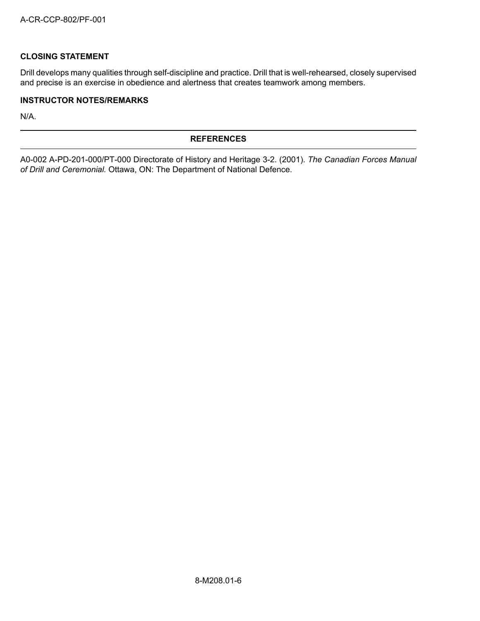# **CLOSING STATEMENT**

Drill develops many qualities through self-discipline and practice. Drill that is well-rehearsed, closely supervised and precise is an exercise in obedience and alertness that creates teamwork among members.

# **INSTRUCTOR NOTES/REMARKS**

N/A.

## **REFERENCES**

A0-002 A-PD-201-000/PT-000 Directorate of History and Heritage 3-2. (2001). *The Canadian Forces Manual of Drill and Ceremonial.* Ottawa, ON: The Department of National Defence.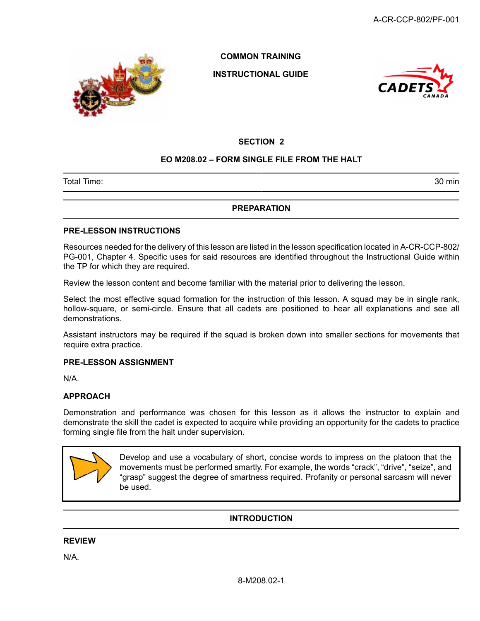

**INSTRUCTIONAL GUIDE**



# **SECTION 2**

# **EO M208.02 – FORM SINGLE FILE FROM THE HALT**

Total Time: 30 min

# **PREPARATION**

# **PRE-LESSON INSTRUCTIONS**

Resources needed for the delivery of this lesson are listed in the lesson specification located in A-CR-CCP-802/ PG-001, Chapter 4. Specific uses for said resources are identified throughout the Instructional Guide within the TP for which they are required.

Review the lesson content and become familiar with the material prior to delivering the lesson.

Select the most effective squad formation for the instruction of this lesson. A squad may be in single rank, hollow-square, or semi-circle. Ensure that all cadets are positioned to hear all explanations and see all demonstrations.

Assistant instructors may be required if the squad is broken down into smaller sections for movements that require extra practice.

### **PRE-LESSON ASSIGNMENT**

N/A.

# **APPROACH**

Demonstration and performance was chosen for this lesson as it allows the instructor to explain and demonstrate the skill the cadet is expected to acquire while providing an opportunity for the cadets to practice forming single file from the halt under supervision.



Develop and use a vocabulary of short, concise words to impress on the platoon that the movements must be performed smartly. For example, the words "crack", "drive", "seize", and "grasp" suggest the degree of smartness required. Profanity or personal sarcasm will never be used.

# **INTRODUCTION**

## **REVIEW**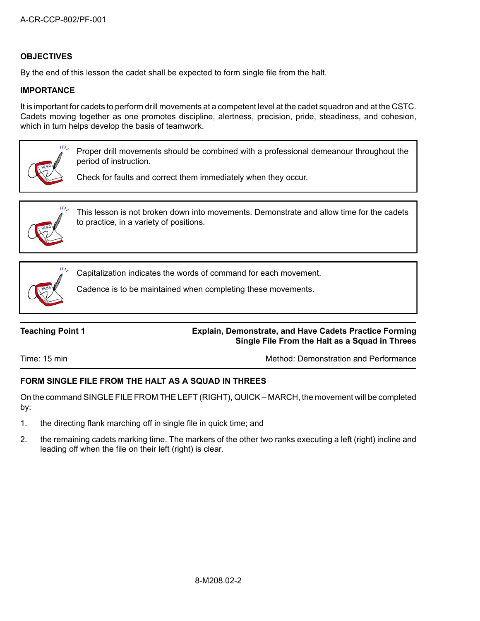# **OBJECTIVES**

By the end of this lesson the cadet shall be expected to form single file from the halt.

## **IMPORTANCE**

It is important for cadets to perform drill movements at a competent level at the cadet squadron and at the CSTC. Cadets moving together as one promotes discipline, alertness, precision, pride, steadiness, and cohesion, which in turn helps develop the basis of teamwork.



Proper drill movements should be combined with a professional demeanour throughout the period of instruction.

Check for faults and correct them immediately when they occur.



This lesson is not broken down into movements. Demonstrate and allow time for the cadets to practice, in a variety of positions.



Capitalization indicates the words of command for each movement.

Cadence is to be maintained when completing these movements.

# **Teaching Point 1 Explain, Demonstrate, and Have Cadets Practice Forming Single File From the Halt as a Squad in Threes**

Time: 15 min Method: Demonstration and Performance

# **FORM SINGLE FILE FROM THE HALT AS A SQUAD IN THREES**

On the command SINGLE FILE FROM THE LEFT (RIGHT), QUICK – MARCH, the movement will be completed by:

- 1. the directing flank marching off in single file in quick time; and
- 2. the remaining cadets marking time. The markers of the other two ranks executing a left (right) incline and leading off when the file on their left (right) is clear.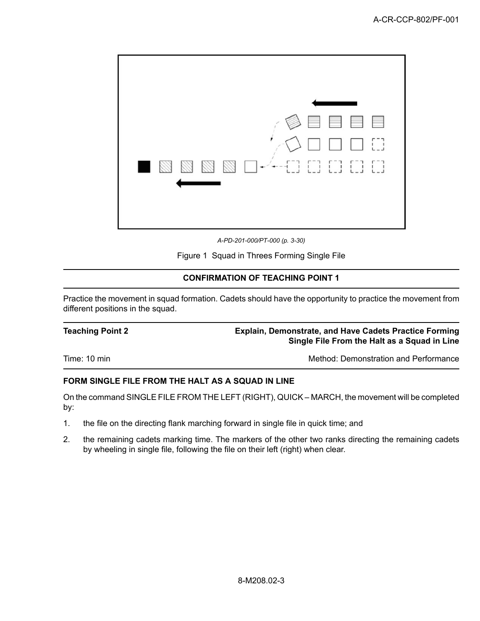

*A-PD-201-000/PT-000 (p. 3-30)*

Figure 1 Squad in Threes Forming Single File

# **CONFIRMATION OF TEACHING POINT 1**

Practice the movement in squad formation. Cadets should have the opportunity to practice the movement from different positions in the squad.

# **Teaching Point 2 Explain, Demonstrate, and Have Cadets Practice Forming Single File From the Halt as a Squad in Line**

Time: 10 min Method: Demonstration and Performance

# **FORM SINGLE FILE FROM THE HALT AS A SQUAD IN LINE**

On the command SINGLE FILE FROM THE LEFT (RIGHT), QUICK – MARCH, the movement will be completed by:

- 1. the file on the directing flank marching forward in single file in quick time; and
- 2. the remaining cadets marking time. The markers of the other two ranks directing the remaining cadets by wheeling in single file, following the file on their left (right) when clear.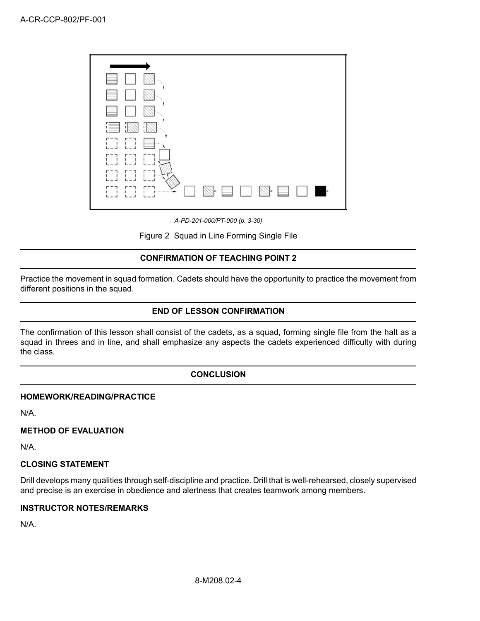

*A-PD-201-000/PT-000 (p. 3-30)*

Figure 2 Squad in Line Forming Single File

# **CONFIRMATION OF TEACHING POINT 2**

Practice the movement in squad formation. Cadets should have the opportunity to practice the movement from different positions in the squad.

# **END OF LESSON CONFIRMATION**

The confirmation of this lesson shall consist of the cadets, as a squad, forming single file from the halt as a squad in threes and in line, and shall emphasize any aspects the cadets experienced difficulty with during the class.

# **CONCLUSION**

# **HOMEWORK/READING/PRACTICE**

N/A.

# **METHOD OF EVALUATION**

N/A.

# **CLOSING STATEMENT**

Drill develops many qualities through self-discipline and practice. Drill that is well-rehearsed, closely supervised and precise is an exercise in obedience and alertness that creates teamwork among members.

# **INSTRUCTOR NOTES/REMARKS**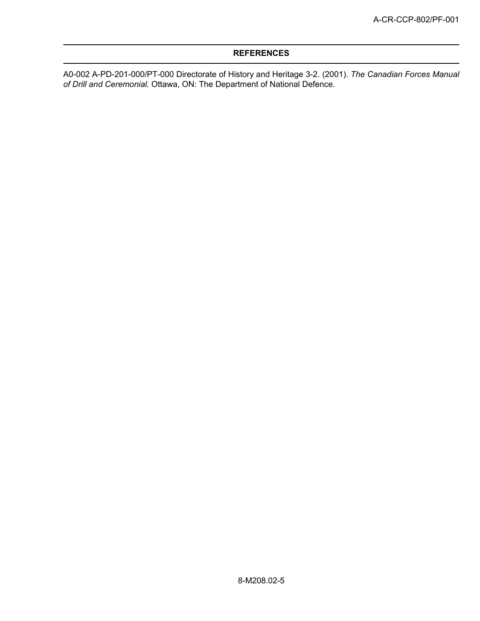# **REFERENCES**

A0-002 A-PD-201-000/PT-000 Directorate of History and Heritage 3-2. (2001). *The Canadian Forces Manual of Drill and Ceremonial.* Ottawa, ON: The Department of National Defence.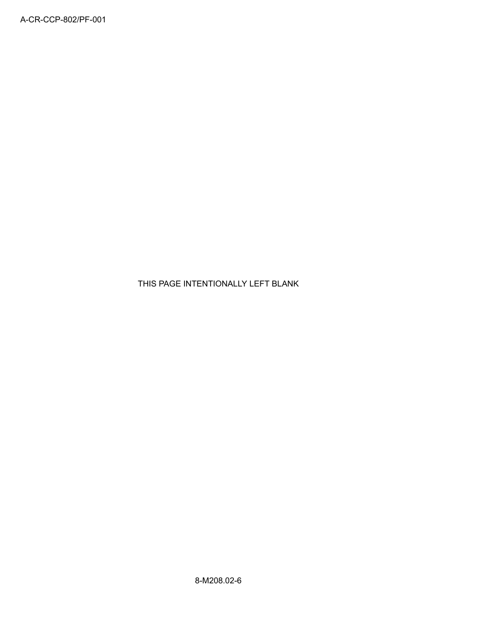THIS PAGE INTENTIONALLY LEFT BLANK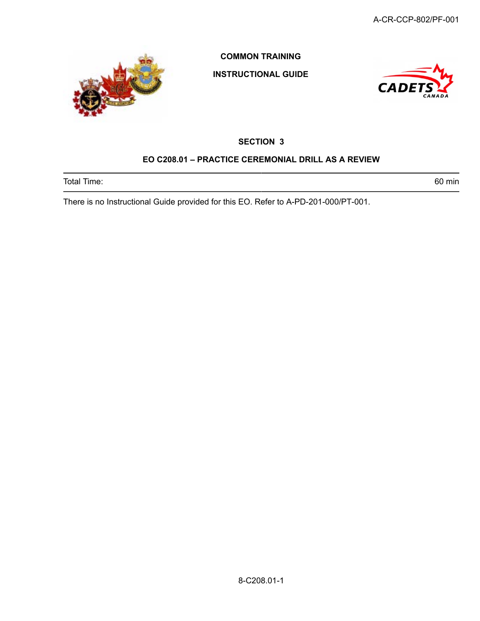

**INSTRUCTIONAL GUIDE**



# **SECTION 3**

# **EO C208.01 – PRACTICE CEREMONIAL DRILL AS A REVIEW**

Total Time: 60 min

There is no Instructional Guide provided for this EO. Refer to A-PD-201-000/PT-001.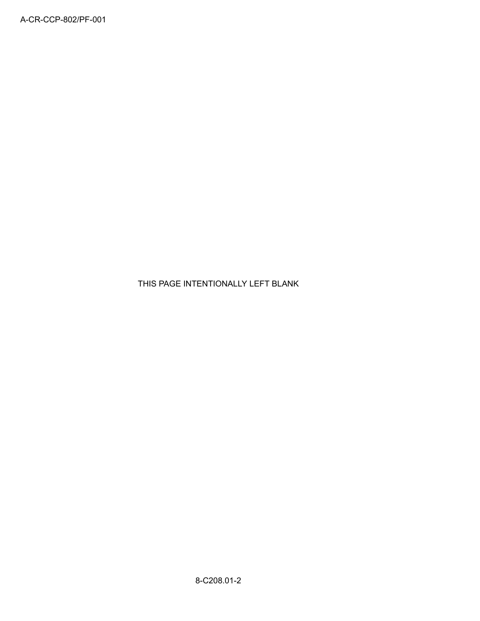THIS PAGE INTENTIONALLY LEFT BLANK